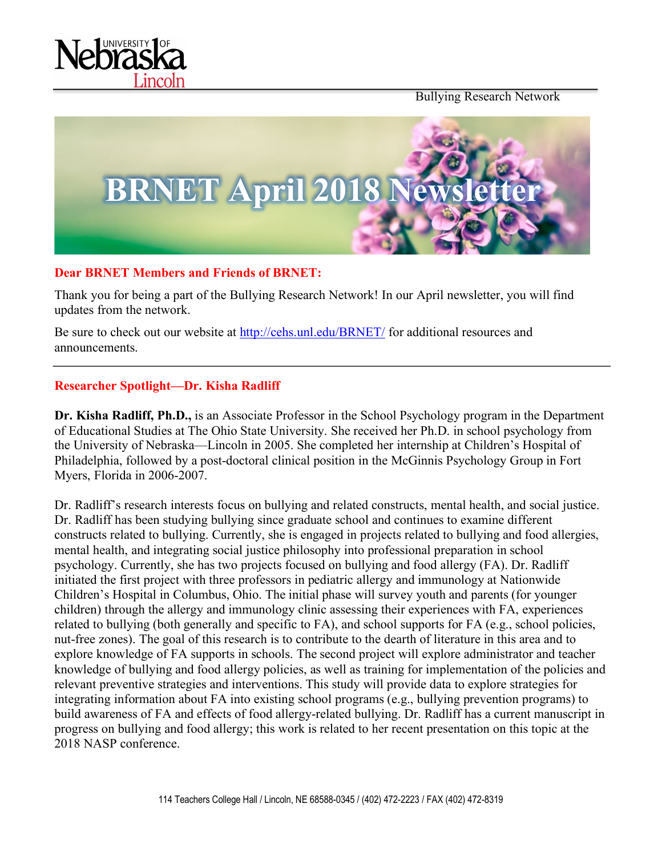





#### **Dear BRNET Members and Friends of BRNET:**

Thank you for being a part of the Bullying Research Network! In our April newsletter, you will find updates from the network.

Be sure to check out our website at http://cehs.unl.edu/BRNET/ for additional resources and announcements.

#### **Researcher Spotlight—Dr. Kisha Radliff**

**Dr. Kisha Radliff, Ph.D.,** is an Associate Professor in the School Psychology program in the Department of Educational Studies at The Ohio State University. She received her Ph.D. in school psychology from the University of Nebraska—Lincoln in 2005. She completed her internship at Children's Hospital of Philadelphia, followed by a post-doctoral clinical position in the McGinnis Psychology Group in Fort Myers, Florida in 2006-2007.

Dr. Radliff's research interests focus on bullying and related constructs, mental health, and social justice. Dr. Radliff has been studying bullying since graduate school and continues to examine different constructs related to bullying. Currently, she is engaged in projects related to bullying and food allergies, mental health, and integrating social justice philosophy into professional preparation in school psychology. Currently, she has two projects focused on bullying and food allergy (FA). Dr. Radliff initiated the first project with three professors in pediatric allergy and immunology at Nationwide Children's Hospital in Columbus, Ohio. The initial phase will survey youth and parents (for younger children) through the allergy and immunology clinic assessing their experiences with FA, experiences related to bullying (both generally and specific to FA), and school supports for FA (e.g., school policies, nut-free zones). The goal of this research is to contribute to the dearth of literature in this area and to explore knowledge of FA supports in schools. The second project will explore administrator and teacher knowledge of bullying and food allergy policies, as well as training for implementation of the policies and relevant preventive strategies and interventions. This study will provide data to explore strategies for integrating information about FA into existing school programs (e.g., bullying prevention programs) to build awareness of FA and effects of food allergy-related bullying. Dr. Radliff has a current manuscript in progress on bullying and food allergy; this work is related to her recent presentation on this topic at the 2018 NASP conference.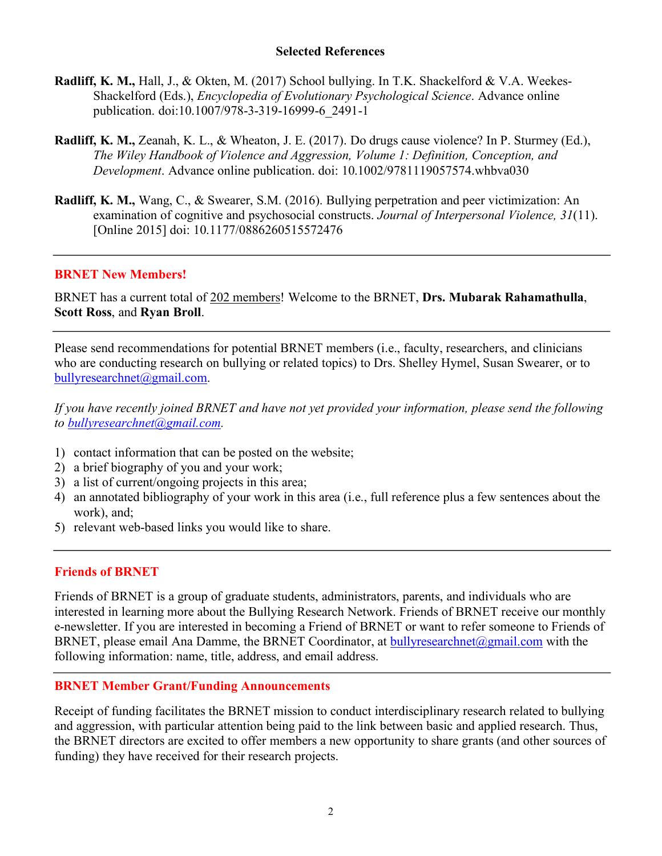#### **Selected References**

- **Radliff, K. M.,** Hall, J., & Okten, M. (2017) School bullying. In T.K. Shackelford & V.A. Weekes-Shackelford (Eds.), *Encyclopedia of Evolutionary Psychological Science*. Advance online publication. doi:10.1007/978-3-319-16999-6\_2491-1
- **Radliff, K. M.,** Zeanah, K. L., & Wheaton, J. E. (2017). Do drugs cause violence? In P. Sturmey (Ed.), *The Wiley Handbook of Violence and Aggression, Volume 1: Definition, Conception, and Development*. Advance online publication. doi: 10.1002/9781119057574.whbva030
- **Radliff, K. M.,** Wang, C., & Swearer, S.M. (2016). Bullying perpetration and peer victimization: An examination of cognitive and psychosocial constructs. *Journal of Interpersonal Violence, 31*(11). [Online 2015] doi: 10.1177/0886260515572476

## **BRNET New Members!**

BRNET has a current total of 202 members! Welcome to the BRNET, **Drs. Mubarak Rahamathulla**, **Scott Ross**, and **Ryan Broll**.

Please send recommendations for potential BRNET members (i.e., faculty, researchers, and clinicians who are conducting research on bullying or related topics) to Drs. Shelley Hymel, Susan Swearer, or to bullyresearchnet@gmail.com.

*If you have recently joined BRNET and have not yet provided your information, please send the following to bullyresearchnet@gmail.com.*

- 1) contact information that can be posted on the website;
- 2) a brief biography of you and your work;
- 3) a list of current/ongoing projects in this area;
- 4) an annotated bibliography of your work in this area (i.e., full reference plus a few sentences about the work), and;
- 5) relevant web-based links you would like to share.

#### **Friends of BRNET**

Friends of BRNET is a group of graduate students, administrators, parents, and individuals who are interested in learning more about the Bullying Research Network. Friends of BRNET receive our monthly e-newsletter. If you are interested in becoming a Friend of BRNET or want to refer someone to Friends of BRNET, please email Ana Damme, the BRNET Coordinator, at bullyresearchnet@gmail.com with the following information: name, title, address, and email address.

## **BRNET Member Grant/Funding Announcements**

Receipt of funding facilitates the BRNET mission to conduct interdisciplinary research related to bullying and aggression, with particular attention being paid to the link between basic and applied research. Thus, the BRNET directors are excited to offer members a new opportunity to share grants (and other sources of funding) they have received for their research projects.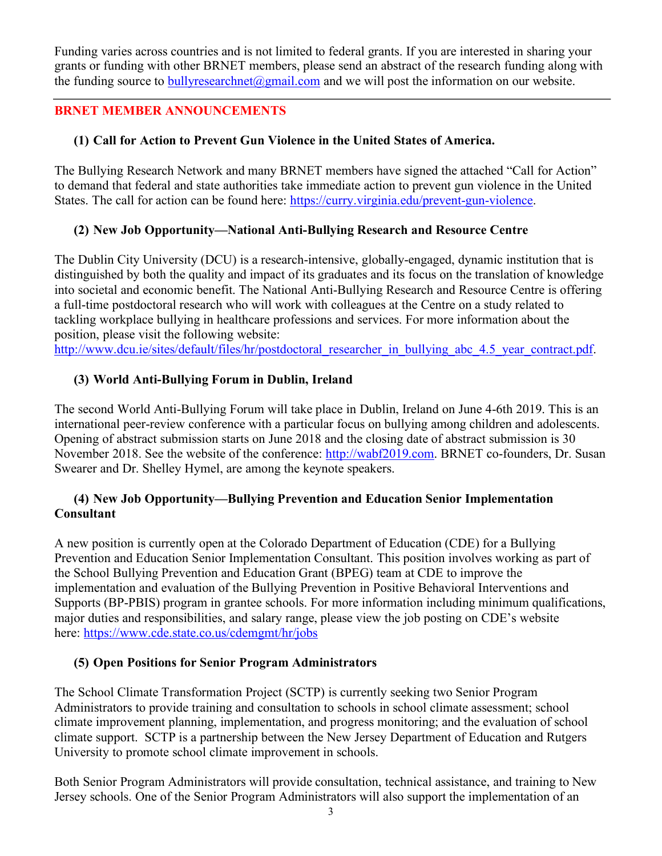Funding varies across countries and is not limited to federal grants. If you are interested in sharing your grants or funding with other BRNET members, please send an abstract of the research funding along with the funding source to bully research net  $\omega$  gmail.com and we will post the information on our website.

### **BRNET MEMBER ANNOUNCEMENTS**

# **(1) Call for Action to Prevent Gun Violence in the United States of America.**

The Bullying Research Network and many BRNET members have signed the attached "Call for Action" to demand that federal and state authorities take immediate action to prevent gun violence in the United States. The call for action can be found here: https://curry.virginia.edu/prevent-gun-violence.

# **(2) New Job Opportunity—National Anti-Bullying Research and Resource Centre**

The Dublin City University (DCU) is a research-intensive, globally-engaged, dynamic institution that is distinguished by both the quality and impact of its graduates and its focus on the translation of knowledge into societal and economic benefit. The National Anti-Bullying Research and Resource Centre is offering a full-time postdoctoral research who will work with colleagues at the Centre on a study related to tackling workplace bullying in healthcare professions and services. For more information about the position, please visit the following website:

http://www.dcu.ie/sites/default/files/hr/postdoctoral\_researcher\_in\_bullying\_abc\_4.5\_year\_contract.pdf.

# **(3) World Anti-Bullying Forum in Dublin, Ireland**

The second World Anti-Bullying Forum will take place in Dublin, Ireland on June 4-6th 2019. This is an international peer-review conference with a particular focus on bullying among children and adolescents. Opening of abstract submission starts on June 2018 and the closing date of abstract submission is 30 November 2018. See the website of the conference: http://wabf2019.com. BRNET co-founders, Dr. Susan Swearer and Dr. Shelley Hymel, are among the keynote speakers.

## **(4) New Job Opportunity—Bullying Prevention and Education Senior Implementation Consultant**

A new position is currently open at the Colorado Department of Education (CDE) for a Bullying Prevention and Education Senior Implementation Consultant. This position involves working as part of the School Bullying Prevention and Education Grant (BPEG) team at CDE to improve the implementation and evaluation of the Bullying Prevention in Positive Behavioral Interventions and Supports (BP-PBIS) program in grantee schools. For more information including minimum qualifications, major duties and responsibilities, and salary range, please view the job posting on CDE's website here: https://www.cde.state.co.us/cdemgmt/hr/jobs

# **(5) Open Positions for Senior Program Administrators**

The School Climate Transformation Project (SCTP) is currently seeking two Senior Program Administrators to provide training and consultation to schools in school climate assessment; school climate improvement planning, implementation, and progress monitoring; and the evaluation of school climate support. SCTP is a partnership between the New Jersey Department of Education and Rutgers University to promote school climate improvement in schools.

Both Senior Program Administrators will provide consultation, technical assistance, and training to New Jersey schools. One of the Senior Program Administrators will also support the implementation of an